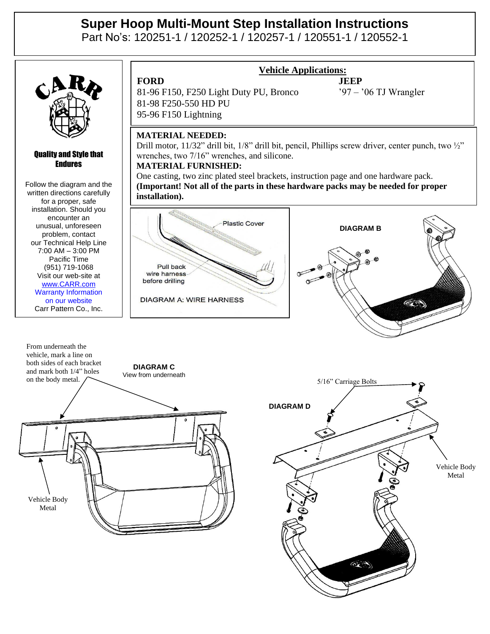# **Super Hoop Multi-Mount Step Installation Instructions**

Part No's: 120251-1 / 120252-1 / 120257-1 / 120551-1 / 120552-1



#### Quality and Style that Endures

Follow the diagram and the written directions carefully for a proper, safe installation. Should you encounter an unusual, unforeseen problem, contact our Technical Help Line 7:00 AM – 3:00 PM Pacific Time (951) 719-1068 Visit our web-site at [www.CARR.com](http://www.carr.com/) Warranty Information on our website Carr Pattern Co., Inc.



# **Vehicle Applications:**

Vehicle Body Metal

## **MATERIAL NEEDED:**

Drill motor, 11/32" drill bit, 1/8" drill bit, pencil, Phillips screw driver, center punch, two 1/2" wrenches, two 7/16" wrenches, and silicone.

### **MATERIAL FURNISHED:**

One casting, two zinc plated steel brackets, instruction page and one hardware pack. **(Important! Not all of the parts in these hardware packs may be needed for proper installation).**